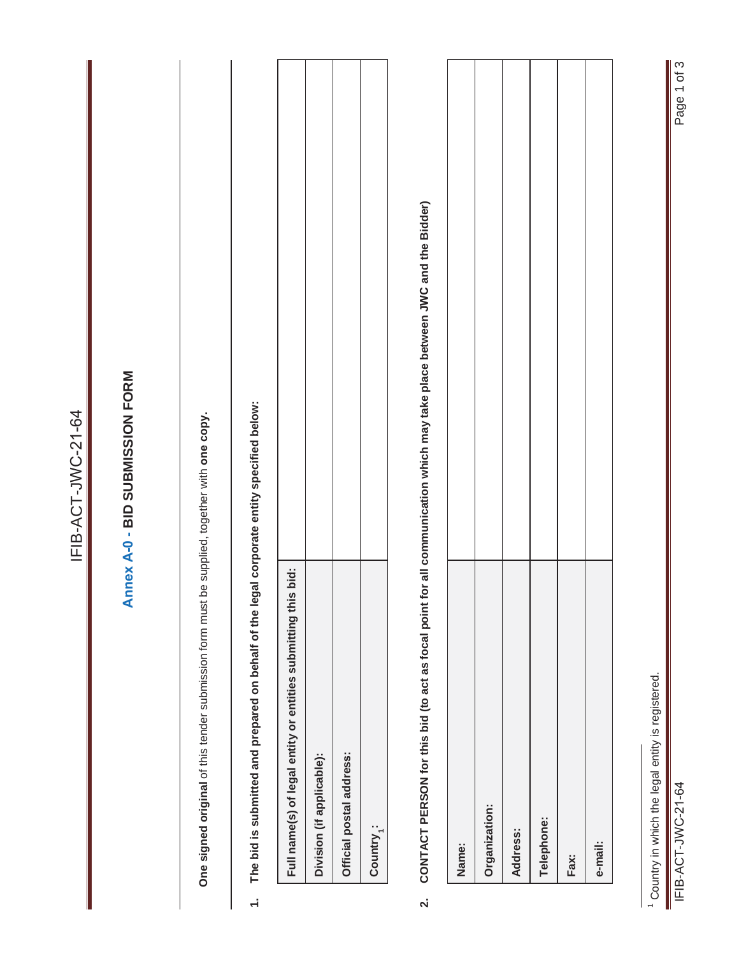|                         |                                                                                            | IFIB-ACT-JWC-21-64                                                                                                        |
|-------------------------|--------------------------------------------------------------------------------------------|---------------------------------------------------------------------------------------------------------------------------|
|                         |                                                                                            | Annex A-0 - BID SUBMISSION FORM                                                                                           |
|                         | One signed original of this tender submission form must                                    | be supplied, together with one copy.                                                                                      |
| $\div$                  | The bid is submitted and prepared on behalf of the legal corporate entity specified below: |                                                                                                                           |
|                         | Full name(s) of legal entity or entities submitting this bid:                              |                                                                                                                           |
|                         | Division (if applicable):                                                                  |                                                                                                                           |
|                         | Official postal address:                                                                   |                                                                                                                           |
|                         | Country <sub>1</sub> :                                                                     |                                                                                                                           |
| $\overline{\mathbf{v}}$ |                                                                                            | CONTACT PERSON for this bid (to act as focal point for all communication which may take place between JWC and the Bidder) |
|                         | Name:                                                                                      |                                                                                                                           |
|                         | Organization:                                                                              |                                                                                                                           |
|                         | Address:                                                                                   |                                                                                                                           |
|                         | Telephone:                                                                                 |                                                                                                                           |
|                         | Fax:                                                                                       |                                                                                                                           |
|                         | e-mail:                                                                                    |                                                                                                                           |
|                         |                                                                                            |                                                                                                                           |
|                         | <sup>1</sup> Country in which the legal entity is registered.                              |                                                                                                                           |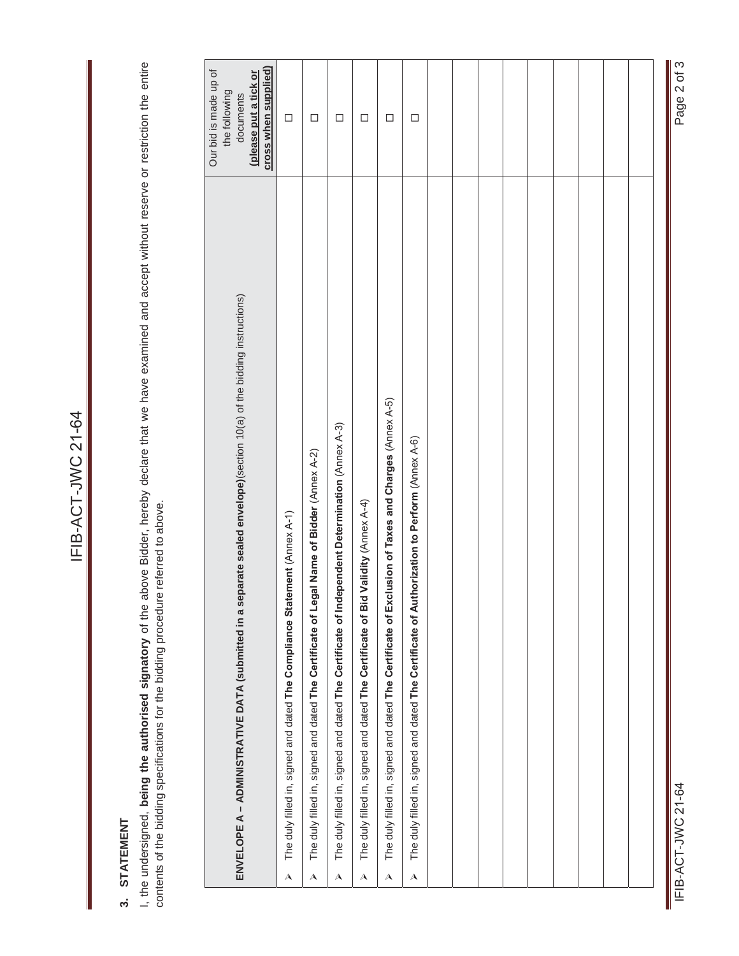# 3. STATEMENT **3. STATEMENT**

I, the undersigned, being the authorised signatory of the above Bidder, hereby declare that we have examined and accept without reserve or restriction the entire<br>contents of the bidding specifications for the bidding proce I, the undersigned, **being the authorised signatory** of the above Bidder, hereby declare that we have examined and accept without reserve or restriction the entire contents of the bidding specifications for the bidding procedure referred to above.

|                           | ENVELOPE A - ADMINISTRATIVE DATA (submitted in a separate sealed envelope)(section 10(a) of the bidding instructions) | cross when supplied)<br>Our bid is made up of<br>(please put a tick or<br>the following<br>documents |
|---------------------------|-----------------------------------------------------------------------------------------------------------------------|------------------------------------------------------------------------------------------------------|
| $\boldsymbol{\lambda}$    | The duly filled in, signed and dated The Compliance Statement (Annex A-1)                                             | $\Box$                                                                                               |
| A                         | gal Name of Bidder (Annex A-2)<br>The duly filled in, signed and dated The Certificate of Leg                         | $\Box$                                                                                               |
| $\boldsymbol{\mathsf{A}}$ | The duly filled in, signed and dated The Certificate of Independent Determination (Annex A-3)                         | $\Box$                                                                                               |
| $\overline{\mathbf{A}}$   | Validity (Annex A-4)<br>The duly filled in, signed and dated The Certificate of Bid                                   | $\Box$                                                                                               |
| $\overline{\mathbf{A}}$   | The duly filled in, signed and dated The Certificate of Exclusion of Taxes and Charges (Annex A-5)                    | $\Box$                                                                                               |
| $\overline{\mathbf{A}}$   | The duly filled in, signed and dated The Certificate of Authorization to Perform (Annex A-6)                          | $\Box$                                                                                               |
|                           |                                                                                                                       |                                                                                                      |
|                           |                                                                                                                       |                                                                                                      |
|                           |                                                                                                                       |                                                                                                      |
|                           |                                                                                                                       |                                                                                                      |
|                           |                                                                                                                       |                                                                                                      |
|                           |                                                                                                                       |                                                                                                      |
|                           |                                                                                                                       |                                                                                                      |
|                           |                                                                                                                       |                                                                                                      |
|                           |                                                                                                                       |                                                                                                      |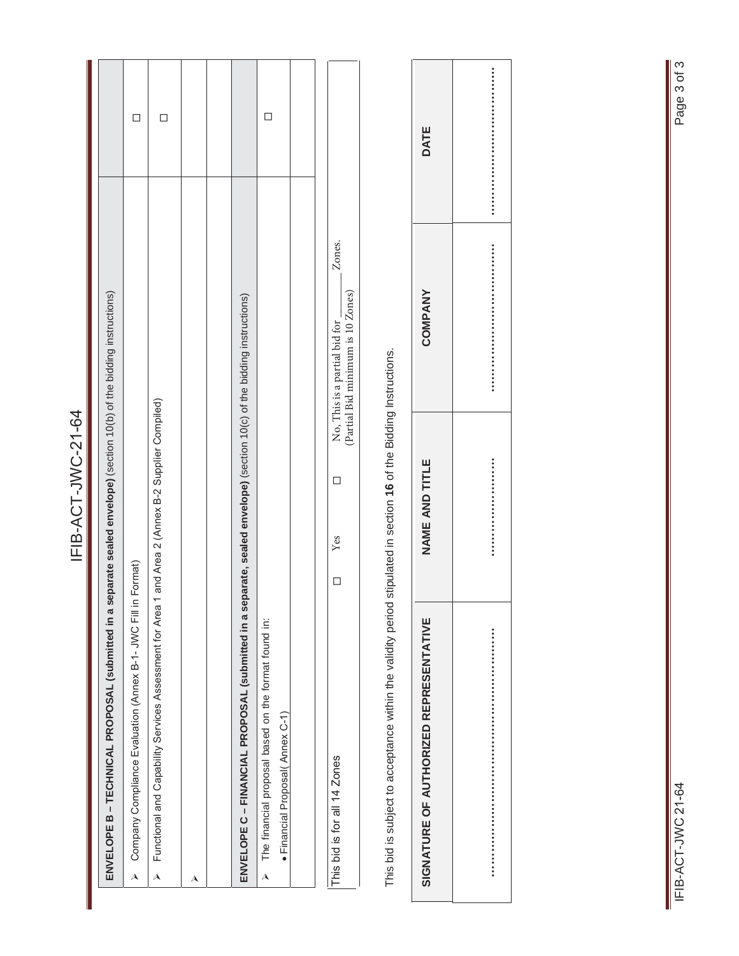|                                                                                                                        | <b>ローム-ファンドローニ</b>                                    |                                         |             |  |
|------------------------------------------------------------------------------------------------------------------------|-------------------------------------------------------|-----------------------------------------|-------------|--|
| ENVELOPE B – TECHNICAL PROPOSAL (submitted in a separate sealed envelope) (section 10(b) of the bidding instructions)  |                                                       |                                         |             |  |
| Company Compliance Evaluation (Annex B-1- JWC Fill in Format)<br>$\overline{\mathbf{A}}$                               |                                                       |                                         | $\Box$      |  |
| Functional and Capability Services Assessment for Area<br>$\triangle$                                                  | 1 and Area 2 (Annex B-2 Supplier Compiled)            |                                         | $\Box$      |  |
| A                                                                                                                      |                                                       |                                         |             |  |
|                                                                                                                        |                                                       |                                         |             |  |
| ENVELOPE C – FINANCIAL PROPOSAL (submitted in a separate, sealed envelope) (section 10(c) of the bidding instructions) |                                                       |                                         |             |  |
| The financial proposal based on the format found in:<br>· Financial Proposal(Annex C-1)<br>$\lambda$                   |                                                       |                                         | $\Box$      |  |
|                                                                                                                        |                                                       |                                         |             |  |
| This bid is for all 14 Zones                                                                                           | $\Box$<br>Yes<br>$\Box$                               | Zones.<br>No, This is a partial bid for |             |  |
|                                                                                                                        |                                                       | (Partial Bid minimum is 10 Zones)       |             |  |
| This bid is subject to acceptance within the validity period                                                           | stipulated in section 16 of the Bidding Instructions. |                                         |             |  |
| SIGNATURE OF AUTHORIZED REPRESENTATIVE                                                                                 | NAME AND TITLE                                        | COMPANY                                 | <b>DATE</b> |  |
|                                                                                                                        |                                                       |                                         |             |  |

**…………………………………………………… …………………… ……………………………… ………………………………**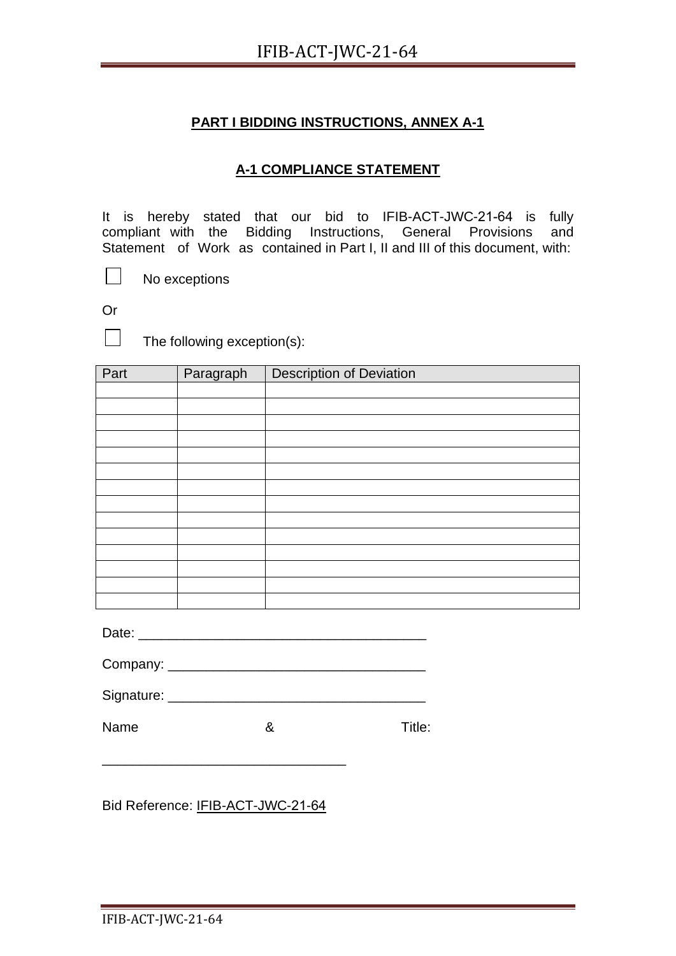# **A-1 COMPLIANCE STATEMENT**

It is hereby stated that our bid to IFIB-ACT-JWC-21-64 is fully compliant with the Bidding Instructions, General Provisions and Statement of Work as contained in Part I, II and III of this document, with:

No exceptions

Or

 $\perp$ 

 $\Box$  The following exception(s):

| Part | Paragraph | <b>Description of Deviation</b> |
|------|-----------|---------------------------------|
|      |           |                                 |
|      |           |                                 |
|      |           |                                 |
|      |           |                                 |
|      |           |                                 |
|      |           |                                 |
|      |           |                                 |
|      |           |                                 |
|      |           |                                 |
|      |           |                                 |
|      |           |                                 |
|      |           |                                 |
|      |           |                                 |
|      |           |                                 |

Date: \_\_\_\_\_\_\_\_\_\_\_\_\_\_\_\_\_\_\_\_\_\_\_\_\_\_\_\_\_\_\_\_\_\_\_\_\_\_

| Company: |
|----------|
|          |

| Signature: |  |  |  |
|------------|--|--|--|
|            |  |  |  |

Name 8 8 Title:

Bid Reference: IFIB-ACT-JWC-21-64

\_\_\_\_\_\_\_\_\_\_\_\_\_\_\_\_\_\_\_\_\_\_\_\_\_\_\_\_\_\_\_\_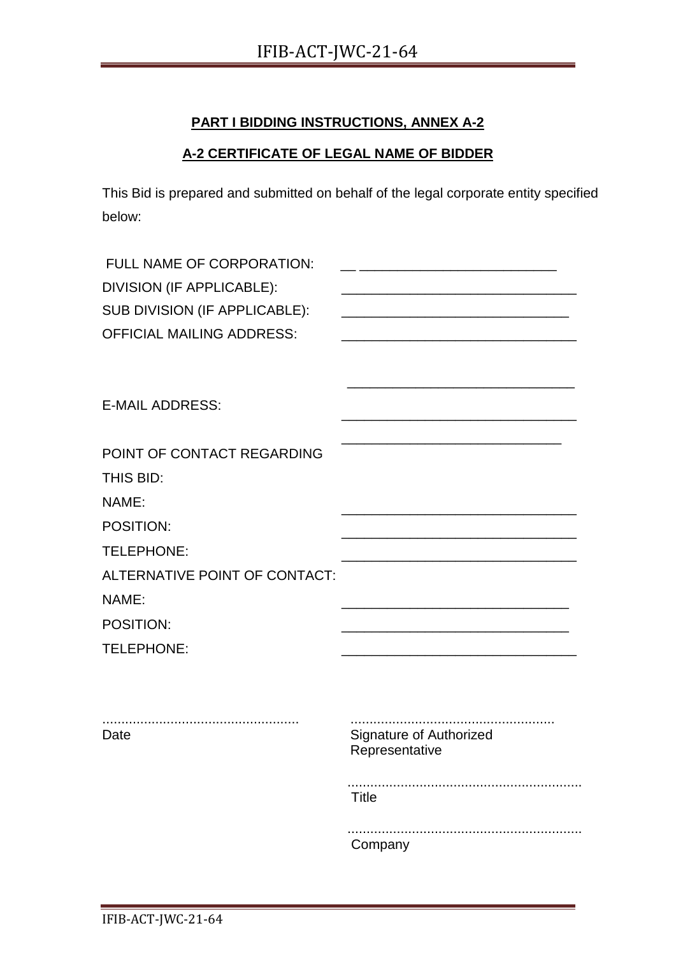## **A-2 CERTIFICATE OF LEGAL NAME OF BIDDER**

This Bid is prepared and submitted on behalf of the legal corporate entity specified below:

| FULL NAME OF CORPORATION:<br>DIVISION (IF APPLICABLE):<br>SUB DIVISION (IF APPLICABLE):<br><b>OFFICIAL MAILING ADDRESS:</b>                      |                                                                             |
|--------------------------------------------------------------------------------------------------------------------------------------------------|-----------------------------------------------------------------------------|
| <b>E-MAIL ADDRESS:</b>                                                                                                                           |                                                                             |
| POINT OF CONTACT REGARDING<br>THIS BID:<br>NAME:<br>POSITION:<br>TELEPHONE:<br>ALTERNATIVE POINT OF CONTACT:<br>NAME:<br>POSITION:<br>TELEPHONE: |                                                                             |
| Date                                                                                                                                             | <b>Signature of Authorized</b><br>Representative<br><b>Title</b><br>Company |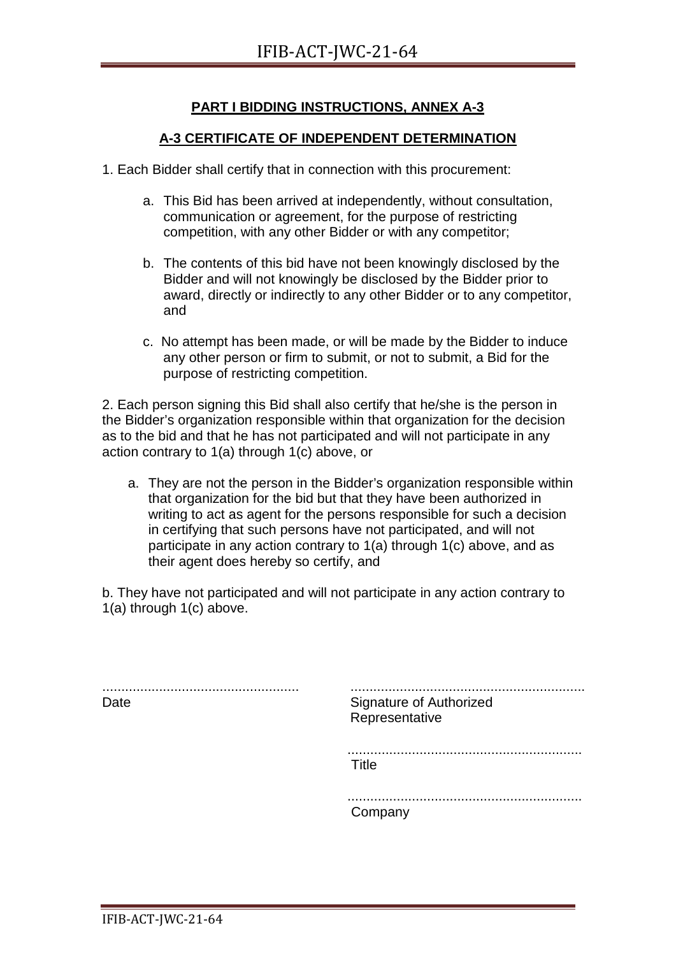#### **A-3 CERTIFICATE OF INDEPENDENT DETERMINATION**

- 1. Each Bidder shall certify that in connection with this procurement:
	- a. This Bid has been arrived at independently, without consultation, communication or agreement, for the purpose of restricting competition, with any other Bidder or with any competitor;
	- b. The contents of this bid have not been knowingly disclosed by the Bidder and will not knowingly be disclosed by the Bidder prior to award, directly or indirectly to any other Bidder or to any competitor, and
	- c. No attempt has been made, or will be made by the Bidder to induce any other person or firm to submit, or not to submit, a Bid for the purpose of restricting competition.

2. Each person signing this Bid shall also certify that he/she is the person in the Bidder's organization responsible within that organization for the decision as to the bid and that he has not participated and will not participate in any action contrary to 1(a) through 1(c) above, or

a. They are not the person in the Bidder's organization responsible within that organization for the bid but that they have been authorized in writing to act as agent for the persons responsible for such a decision in certifying that such persons have not participated, and will not participate in any action contrary to 1(a) through 1(c) above, and as their agent does hereby so certify, and

b. They have not participated and will not participate in any action contrary to 1(a) through 1(c) above.

.................................................... Date .............................................................. Signature of Authorized Representative .............................................................. Title .............................................................. Company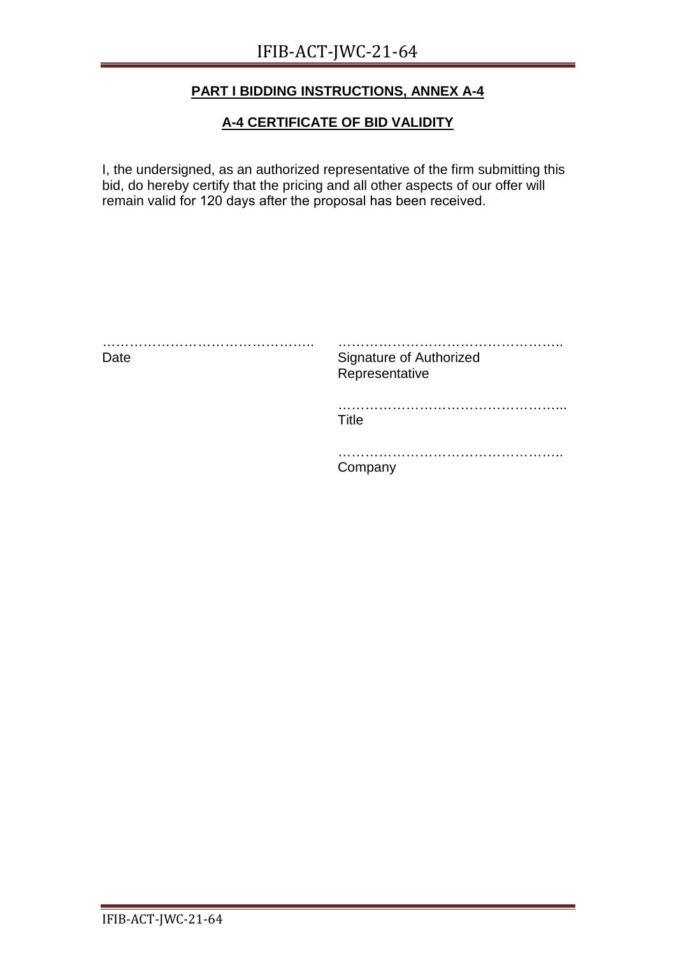#### **A-4 CERTIFICATE OF BID VALIDITY**

I, the undersigned, as an authorized representative of the firm submitting this bid, do hereby certify that the pricing and all other aspects of our offer will remain valid for 120 days after the proposal has been received.

| Date | <b>Signature of Authorized</b><br>Representative |
|------|--------------------------------------------------|
|      | <br>Title                                        |
|      | Company                                          |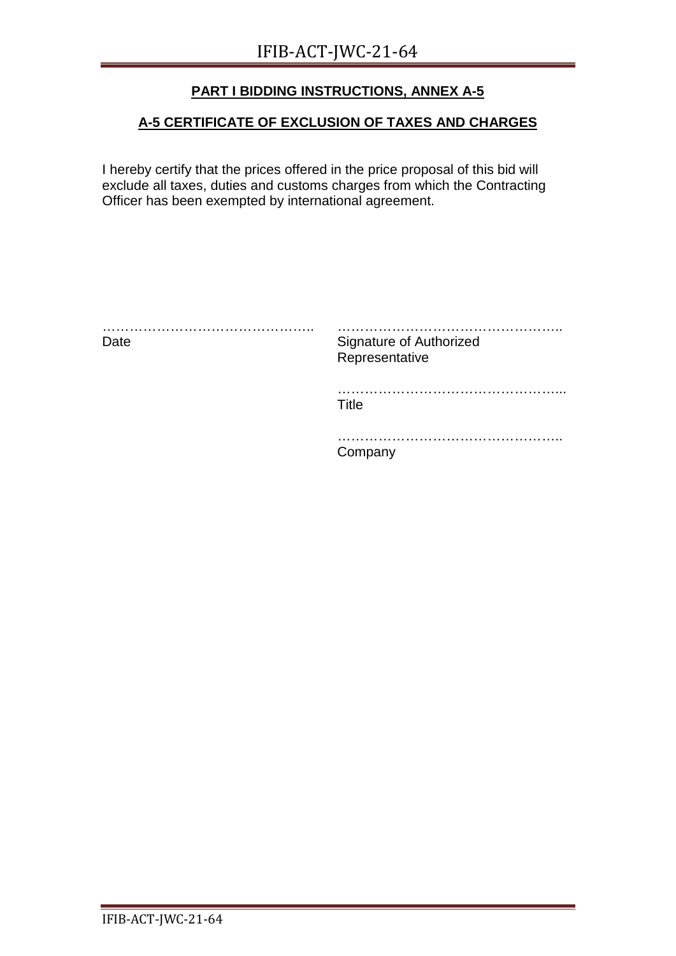# **A-5 CERTIFICATE OF EXCLUSION OF TAXES AND CHARGES**

I hereby certify that the prices offered in the price proposal of this bid will exclude all taxes, duties and customs charges from which the Contracting Officer has been exempted by international agreement.

| .<br>Date | Signature of Authorized<br>Representative |
|-----------|-------------------------------------------|
|           | . .<br>Title                              |
|           | Company                                   |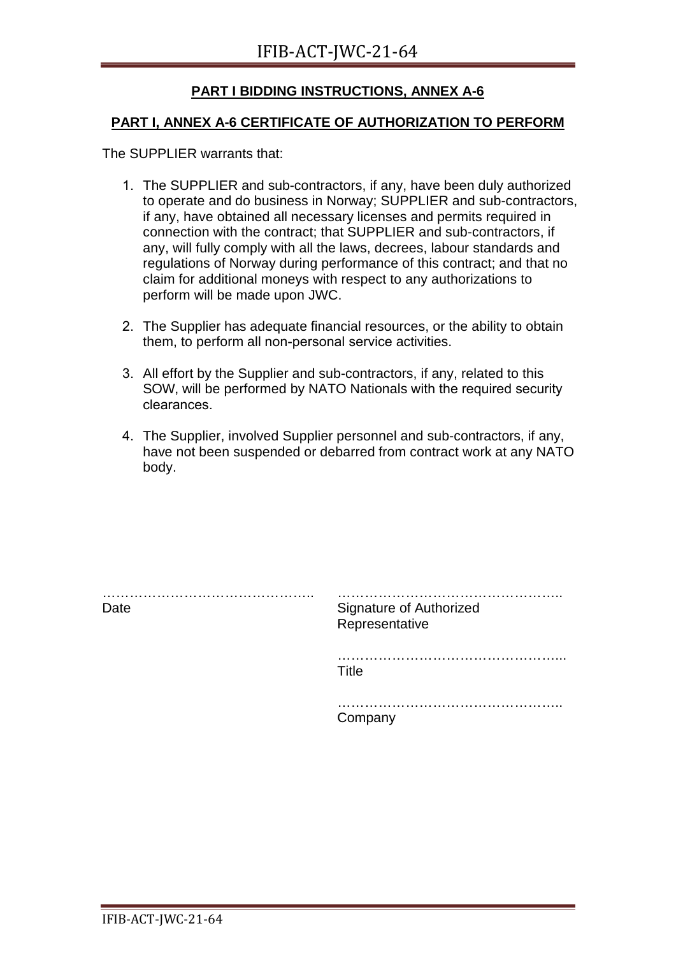#### **PART I, ANNEX A-6 CERTIFICATE OF AUTHORIZATION TO PERFORM**

The SUPPLIER warrants that:

- 1. The SUPPLIER and sub-contractors, if any, have been duly authorized to operate and do business in Norway; SUPPLIER and sub-contractors, if any, have obtained all necessary licenses and permits required in connection with the contract; that SUPPLIER and sub-contractors, if any, will fully comply with all the laws, decrees, labour standards and regulations of Norway during performance of this contract; and that no claim for additional moneys with respect to any authorizations to perform will be made upon JWC.
- 2. The Supplier has adequate financial resources, or the ability to obtain them, to perform all non-personal service activities.
- 3. All effort by the Supplier and sub-contractors, if any, related to this SOW, will be performed by NATO Nationals with the required security clearances.
- 4. The Supplier, involved Supplier personnel and sub-contractors, if any, have not been suspended or debarred from contract work at any NATO body.

| Date | <b>Signature of Authorized</b><br>Representative |
|------|--------------------------------------------------|
|      | . .<br>Title                                     |
|      | .<br>Company                                     |
|      |                                                  |